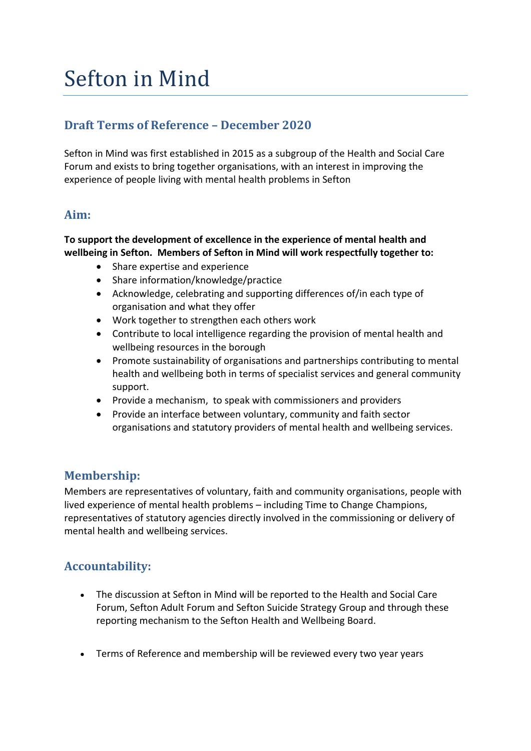# Sefton in Mind

### **Draft Terms of Reference – December 2020**

Sefton in Mind was first established in 2015 as a subgroup of the Health and Social Care Forum and exists to bring together organisations, with an interest in improving the experience of people living with mental health problems in Sefton

#### **Aim:**

#### **To support the development of excellence in the experience of mental health and wellbeing in Sefton. Members of Sefton in Mind will work respectfully together to:**

- Share expertise and experience
- Share information/knowledge/practice
- Acknowledge, celebrating and supporting differences of/in each type of organisation and what they offer
- Work together to strengthen each others work
- Contribute to local intelligence regarding the provision of mental health and wellbeing resources in the borough
- Promote sustainability of organisations and partnerships contributing to mental health and wellbeing both in terms of specialist services and general community support.
- Provide a mechanism, to speak with commissioners and providers
- Provide an interface between voluntary, community and faith sector organisations and statutory providers of mental health and wellbeing services.

#### **Membership:**

Members are representatives of voluntary, faith and community organisations, people with lived experience of mental health problems – including Time to Change Champions, representatives of statutory agencies directly involved in the commissioning or delivery of mental health and wellbeing services.

#### **Accountability:**

- The discussion at Sefton in Mind will be reported to the Health and Social Care Forum, Sefton Adult Forum and Sefton Suicide Strategy Group and through these reporting mechanism to the Sefton Health and Wellbeing Board.
- Terms of Reference and membership will be reviewed every two year years